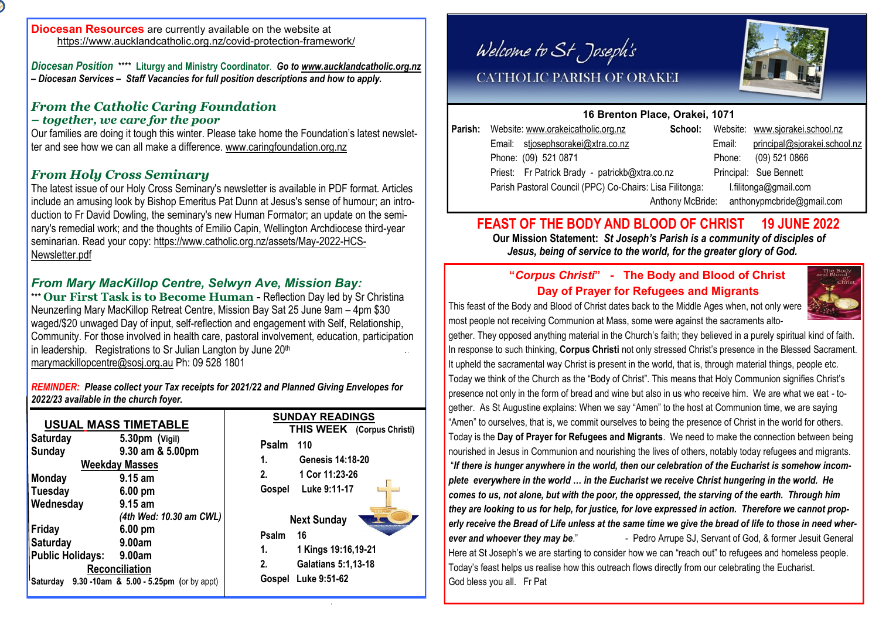*Diocesan Position*\*\*\*\* **Liturgy and Ministry Coordinator**. *Go to [www.aucklandcatholic.org.nz](http://www.aucklandcatholic.org.nz) – Diocesan Services – Staff Vacancies for full position descriptions and how to apply.*

### *From the Catholic Caring Foundation – together, we care for the poor*

Our families are doing it tough this winter. Please take home the Foundation's latest newsletter and see how we can all make a difference. [www.caringfoundation.org.nz](http://www.caringfoundation.org.nz)

## *From Holy Cross Seminary*

The latest issue of our Holy Cross Seminary's newsletter is available in PDF format. Articles include an amusing look by Bishop Emeritus Pat Dunn at Jesus's sense of humour; an introduction to Fr David Dowling, the seminary's new Human Formator; an update on the seminary's remedial work; and the thoughts of Emilio Capin, Wellington Archdiocese third-year seminarian. Read your copy: [https://www.catholic.org.nz/assets/May-2022-HCS-](https://www.catholic.org.nz/assets/May-2022-HCS-Newsletter.pdf)[Newsletter.pdf](https://www.catholic.org.nz/assets/May-2022-HCS-Newsletter.pdf)

# *From Mary MacKillop Centre, Selwyn Ave, Mission Bay:*

\*\*\* **Our First Task is to Become Human** - Reflection Day led by Sr Christina Neunzerling Mary MacKillop Retreat Centre, Mission Bay Sat 25 June 9am – 4pm \$30 waged/\$20 unwaged Day of input, self-reflection and engagement with Self, Relationship, Community. For those involved in health care, pastoral involvement, education, participation in leadership. Registrations to Sr Julian Langton by June 20<sup>th</sup> [marymackillopcentre@sosj.org.au](mailto:marymackillopcentre@sosj.org.au) Ph: 09 528 1801

*REMINDER: Please collect your Tax receipts for 2021/22 and Planned Giving Envelopes for 2022/23 available in the church foyer.*

| <b>USUAL MASS TIMETABLE</b>                                               |                                                                                                                                                      | <b>SUNDAY READINGS</b><br>THIS WEEK (Corpus Christi)                                                                         |  |  |  |
|---------------------------------------------------------------------------|------------------------------------------------------------------------------------------------------------------------------------------------------|------------------------------------------------------------------------------------------------------------------------------|--|--|--|
| <b>Saturday</b><br><b>Sunday</b><br><b>Monday</b><br>Tuesday<br>Wednesday | $5.30pm$ (Vigil)<br>9.30 am & 5.00pm<br><b>Weekday Masses</b><br>$9.15$ am<br>$6.00 \text{ pm}$<br>$9.15$ am                                         | Psalm 110<br><b>Genesis 14:18-20</b><br>1.<br>2.<br>1 Cor 11:23-26<br>Luke 9:11-17<br>Gospel                                 |  |  |  |
| Friday<br><b>Saturday</b><br>Public Holidays:                             | (4th Wed: 10.30 am CWL)<br>$6.00 \text{ pm}$<br>9.00am<br>9.00am<br>Reconciliation<br>$\frac{1}{2}$ Saturday 9.30 -10am & 5.00 - 5.25pm (or by appt) | <b>Next Sunday</b><br>Psalm<br>16<br>1 Kings 19:16,19-21<br>1.<br>2.<br><b>Galatians 5:1,13-18</b><br>Luke 9:51-62<br>Gospel |  |  |  |

Welcome to St Joseph's



# CATHOLIC PARISH OF ORAKEI

## **16 Brenton Place, Orakei, 1071**

| Parish: Website: www.orakeicatholic.org.nz               | School:          |        | Website: www.sjorakei.school.nz |
|----------------------------------------------------------|------------------|--------|---------------------------------|
| Email: stjosephsorakei@xtra.co.nz                        |                  | Email: | principal@sjorakei.school.nz    |
| Phone: (09) 521 0871                                     |                  | Phone: | $(09)$ 521 0866                 |
| Priest: Fr Patrick Brady - patrickb@xtra.co.nz           |                  |        | Principal: Sue Bennett          |
| Parish Pastoral Council (PPC) Co-Chairs: Lisa Filitonga: |                  |        | l.filitonga@gmail.com           |
|                                                          | Anthony McBride: |        | anthonypmcbride@gmail.com       |

# **FEAST OF THE BODY AND BLOOD OF CHRIST 19 JUNE 2022**

 **Our Mission Statement:** *St Joseph's Parish is a community of disciples of Jesus, being of service to the world, for the greater glory of God.* 

# **"***Corpus Christi***" - The Body and Blood of Christ Day of Prayer for Refugees and Migrants**

This feast of the Body and Blood of Christ dates back to the Middle Ages when, not only were



most people not receiving Communion at Mass, some were against the sacraments altogether. They opposed anything material in the Church's faith; they believed in a purely spiritual kind of faith. In response to such thinking, **Corpus Christi** not only stressed Christ's presence in the Blessed Sacrament.

It upheld the sacramental way Christ is present in the world, that is, through material things, people etc. Today we think of the Church as the "Body of Christ". This means that Holy Communion signifies Christ's presence not only in the form of bread and wine but also in us who receive him. We are what we eat - together. As St Augustine explains: When we say "Amen" to the host at Communion time, we are saying "Amen" to ourselves, that is, we commit ourselves to being the presence of Christ in the world for others. Today is the **Day of Prayer for Refugees and Migrants**. We need to make the connection between being nourished in Jesus in Communion and nourishing the lives of others, notably today refugees and migrants. "*If there is hunger anywhere in the world, then our celebration of the Eucharist is somehow incomplete everywhere in the world … in the Eucharist we receive Christ hungering in the world. He comes to us, not alone, but with the poor, the oppressed, the starving of the earth. Through him they are looking to us for help, for justice, for love expressed in action. Therefore we cannot properly receive the Bread of Life unless at the same time we give the bread of life to those in need wher***ever and whoever they may be."** - Pedro Arrupe SJ, Servant of God, & former Jesuit General Here at St Joseph's we are starting to consider how we can "reach out" to refugees and homeless people. Todav's feast helps us realise how this outreach flows directly from our celebrating the Eucharist. God bless you all. Fr Pat